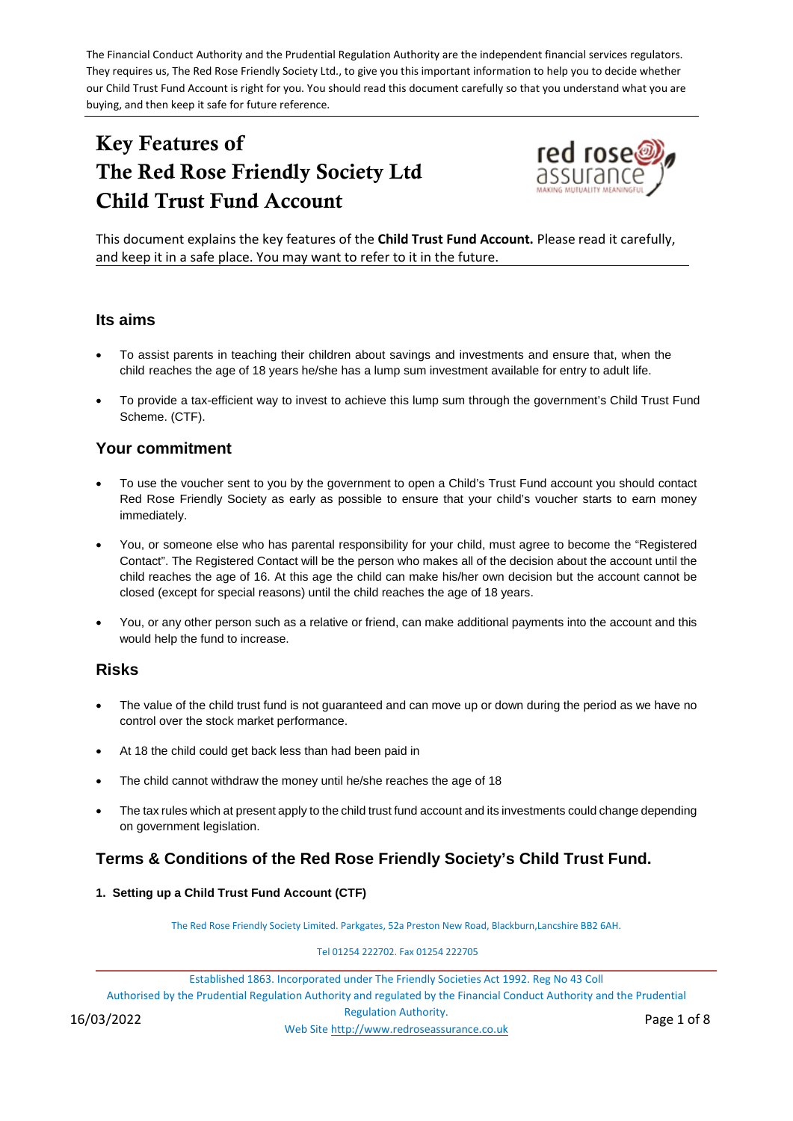The Financial Conduct Authority and the Prudential Regulation Authority are the independent financial services regulators. They requires us, The Red Rose Friendly Society Ltd., to give you this important information to help you to decide whether our Child Trust Fund Account is right for you. You should read this document carefully so that you understand what you are buying, and then keep it safe for future reference.

# Key Features of The Red Rose Friendly Society Ltd Child Trust Fund Account



This document explains the key features of the **Child Trust Fund Account.** Please read it carefully, and keep it in a safe place. You may want to refer to it in the future.

#### **Its aims**

- To assist parents in teaching their children about savings and investments and ensure that, when the child reaches the age of 18 years he/she has a lump sum investment available for entry to adult life.
- To provide a tax-efficient way to invest to achieve this lump sum through the government's Child Trust Fund Scheme. (CTF).

### **Your commitment**

- To use the voucher sent to you by the government to open a Child's Trust Fund account you should contact Red Rose Friendly Society as early as possible to ensure that your child's voucher starts to earn money immediately.
- You, or someone else who has parental responsibility for your child, must agree to become the "Registered Contact". The Registered Contact will be the person who makes all of the decision about the account until the child reaches the age of 16. At this age the child can make his/her own decision but the account cannot be closed (except for special reasons) until the child reaches the age of 18 years.
- You, or any other person such as a relative or friend, can make additional payments into the account and this would help the fund to increase.

#### **Risks**

- The value of the child trust fund is not guaranteed and can move up or down during the period as we have no control over the stock market performance.
- At 18 the child could get back less than had been paid in
- The child cannot withdraw the money until he/she reaches the age of 18
- The tax rules which at present apply to the child trust fund account and its investments could change depending on government legislation.

# **Terms & Conditions of the Red Rose Friendly Society's Child Trust Fund.**

**1. Setting up a Child Trust Fund Account (CTF)**

The Red Rose Friendly Society Limited. Parkgates, 52a Preston New Road, Blackburn,Lancshire BB2 6AH.

Tel 01254 222702. Fax 01254 222705

Established 1863. Incorporated under The Friendly Societies Act 1992. Reg No 43 Coll Authorised by the Prudential Regulation Authority and regulated by the Financial Conduct Authority and the Prudential Regulation Authority. Web Sit[e http://www.redroseassurance.co.uk](http://www.redroseassurance.co.uk/) 16/03/2022 Page 1 of 8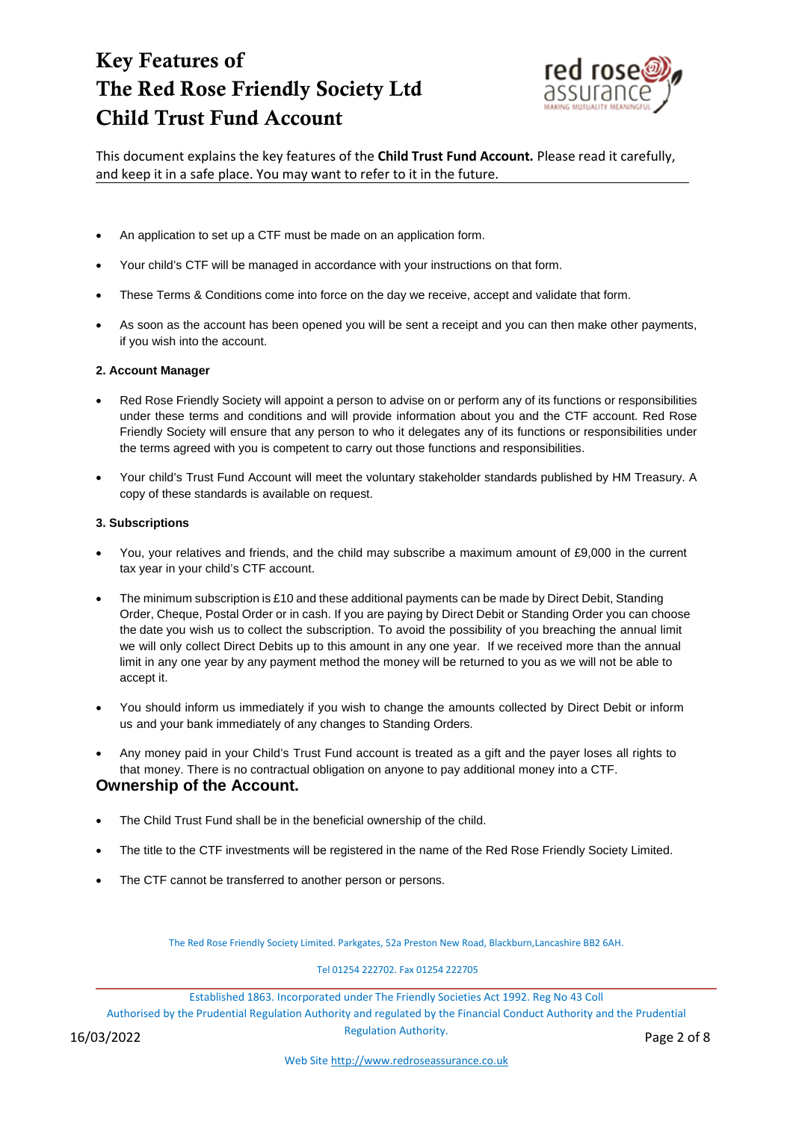

This document explains the key features of the **Child Trust Fund Account.** Please read it carefully, and keep it in a safe place. You may want to refer to it in the future.

- An application to set up a CTF must be made on an application form.
- Your child's CTF will be managed in accordance with your instructions on that form.
- These Terms & Conditions come into force on the day we receive, accept and validate that form.
- As soon as the account has been opened you will be sent a receipt and you can then make other payments, if you wish into the account.

#### **2. Account Manager**

- Red Rose Friendly Society will appoint a person to advise on or perform any of its functions or responsibilities under these terms and conditions and will provide information about you and the CTF account. Red Rose Friendly Society will ensure that any person to who it delegates any of its functions or responsibilities under the terms agreed with you is competent to carry out those functions and responsibilities.
- Your child's Trust Fund Account will meet the voluntary stakeholder standards published by HM Treasury. A copy of these standards is available on request.

#### **3. Subscriptions**

- You, your relatives and friends, and the child may subscribe a maximum amount of £9,000 in the current tax year in your child's CTF account.
- The minimum subscription is £10 and these additional payments can be made by Direct Debit, Standing Order, Cheque, Postal Order or in cash. If you are paying by Direct Debit or Standing Order you can choose the date you wish us to collect the subscription. To avoid the possibility of you breaching the annual limit we will only collect Direct Debits up to this amount in any one year. If we received more than the annual limit in any one year by any payment method the money will be returned to you as we will not be able to accept it.
- You should inform us immediately if you wish to change the amounts collected by Direct Debit or inform us and your bank immediately of any changes to Standing Orders.
- Any money paid in your Child's Trust Fund account is treated as a gift and the payer loses all rights to that money. There is no contractual obligation on anyone to pay additional money into a CTF. **Ownership of the Account.**
- The Child Trust Fund shall be in the beneficial ownership of the child.
- The title to the CTF investments will be registered in the name of the Red Rose Friendly Society Limited.
- The CTF cannot be transferred to another person or persons.

The Red Rose Friendly Society Limited. Parkgates, 52a Preston New Road, Blackburn,Lancashire BB2 6AH.

#### Tel 01254 222702. Fax 01254 222705

Established 1863. Incorporated under The Friendly Societies Act 1992. Reg No 43 Coll

Authorised by the Prudential Regulation Authority and regulated by the Financial Conduct Authority and the Prudential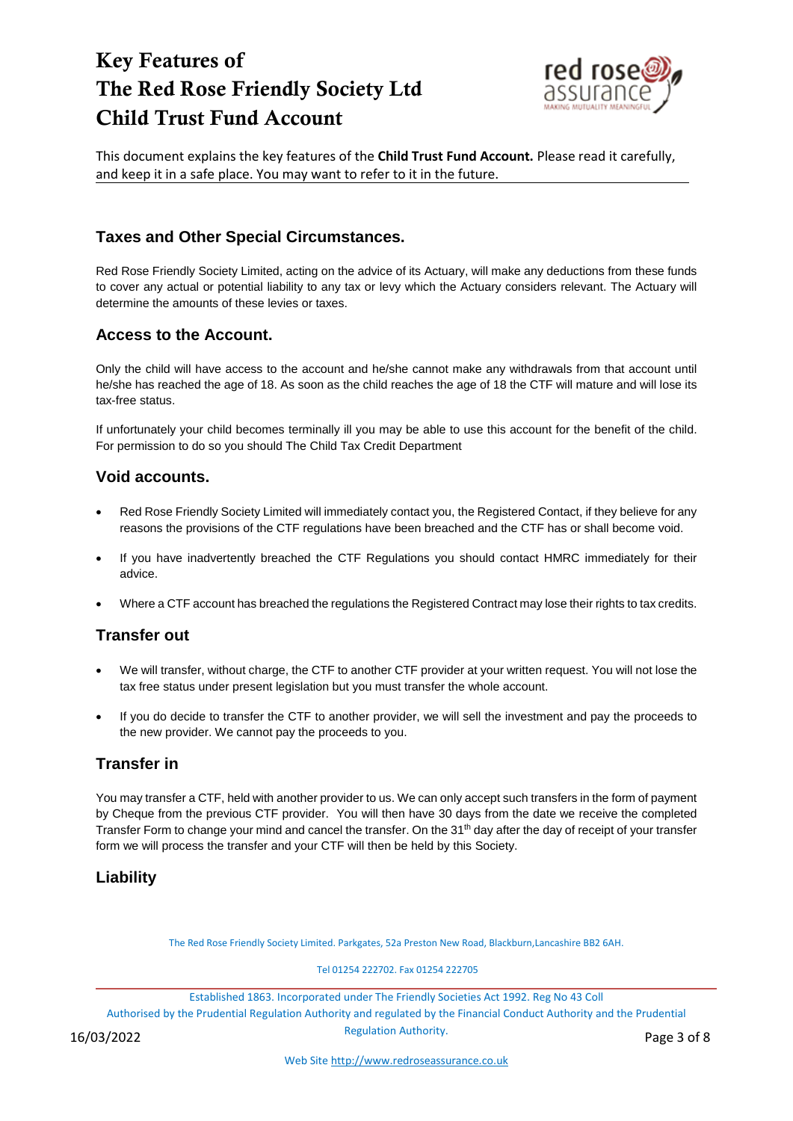

This document explains the key features of the **Child Trust Fund Account.** Please read it carefully, and keep it in a safe place. You may want to refer to it in the future.

# **Taxes and Other Special Circumstances.**

Red Rose Friendly Society Limited, acting on the advice of its Actuary, will make any deductions from these funds to cover any actual or potential liability to any tax or levy which the Actuary considers relevant. The Actuary will determine the amounts of these levies or taxes.

# **Access to the Account.**

Only the child will have access to the account and he/she cannot make any withdrawals from that account until he/she has reached the age of 18. As soon as the child reaches the age of 18 the CTF will mature and will lose its tax-free status.

If unfortunately your child becomes terminally ill you may be able to use this account for the benefit of the child. For permission to do so you should The Child Tax Credit Department

#### **Void accounts.**

- Red Rose Friendly Society Limited will immediately contact you, the Registered Contact, if they believe for any reasons the provisions of the CTF regulations have been breached and the CTF has or shall become void.
- If you have inadvertently breached the CTF Regulations you should contact HMRC immediately for their advice.
- Where a CTF account has breached the regulations the Registered Contract may lose their rights to tax credits.

# **Transfer out**

- We will transfer, without charge, the CTF to another CTF provider at your written request. You will not lose the tax free status under present legislation but you must transfer the whole account.
- If you do decide to transfer the CTF to another provider, we will sell the investment and pay the proceeds to the new provider. We cannot pay the proceeds to you.

# **Transfer in**

You may transfer a CTF, held with another provider to us. We can only accept such transfers in the form of payment by Cheque from the previous CTF provider. You will then have 30 days from the date we receive the completed Transfer Form to change your mind and cancel the transfer. On the 31<sup>th</sup> day after the day of receipt of your transfer form we will process the transfer and your CTF will then be held by this Society.

# **Liability**

The Red Rose Friendly Society Limited. Parkgates, 52a Preston New Road, Blackburn,Lancashire BB2 6AH.

Tel 01254 222702. Fax 01254 222705

Established 1863. Incorporated under The Friendly Societies Act 1992. Reg No 43 Coll

Authorised by the Prudential Regulation Authority and regulated by the Financial Conduct Authority and the Prudential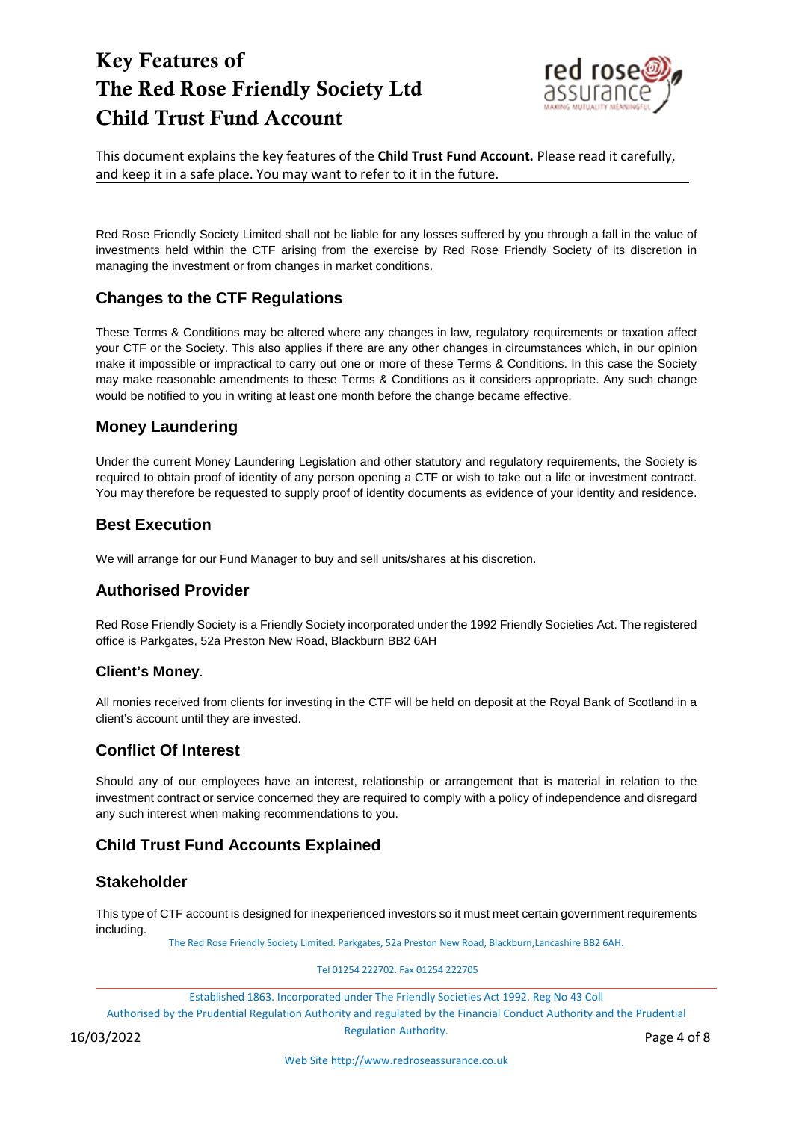

This document explains the key features of the **Child Trust Fund Account.** Please read it carefully, and keep it in a safe place. You may want to refer to it in the future.

Red Rose Friendly Society Limited shall not be liable for any losses suffered by you through a fall in the value of investments held within the CTF arising from the exercise by Red Rose Friendly Society of its discretion in managing the investment or from changes in market conditions.

# **Changes to the CTF Regulations**

These Terms & Conditions may be altered where any changes in law, regulatory requirements or taxation affect your CTF or the Society. This also applies if there are any other changes in circumstances which, in our opinion make it impossible or impractical to carry out one or more of these Terms & Conditions. In this case the Society may make reasonable amendments to these Terms & Conditions as it considers appropriate. Any such change would be notified to you in writing at least one month before the change became effective.

### **Money Laundering**

Under the current Money Laundering Legislation and other statutory and regulatory requirements, the Society is required to obtain proof of identity of any person opening a CTF or wish to take out a life or investment contract. You may therefore be requested to supply proof of identity documents as evidence of your identity and residence.

### **Best Execution**

We will arrange for our Fund Manager to buy and sell units/shares at his discretion.

# **Authorised Provider**

Red Rose Friendly Society is a Friendly Society incorporated under the 1992 Friendly Societies Act. The registered office is Parkgates, 52a Preston New Road, Blackburn BB2 6AH

#### **Client's Money**.

All monies received from clients for investing in the CTF will be held on deposit at the Royal Bank of Scotland in a client's account until they are invested.

#### **Conflict Of Interest**

Should any of our employees have an interest, relationship or arrangement that is material in relation to the investment contract or service concerned they are required to comply with a policy of independence and disregard any such interest when making recommendations to you.

# **Child Trust Fund Accounts Explained**

#### **Stakeholder**

This type of CTF account is designed for inexperienced investors so it must meet certain government requirements including.

The Red Rose Friendly Society Limited. Parkgates, 52a Preston New Road, Blackburn,Lancashire BB2 6AH.

Tel 01254 222702. Fax 01254 222705

Established 1863. Incorporated under The Friendly Societies Act 1992. Reg No 43 Coll

Authorised by the Prudential Regulation Authority and regulated by the Financial Conduct Authority and the Prudential

negulation Additionty.<br>16/03/2022 Page 4 of 8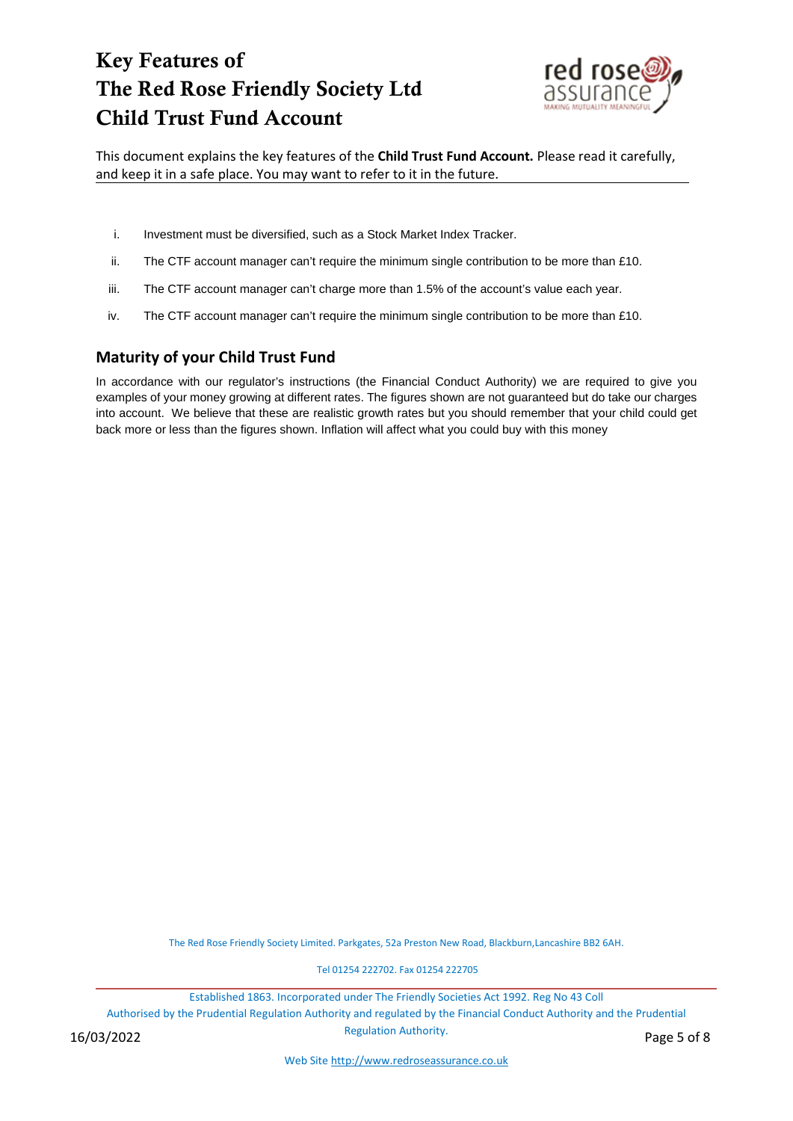

This document explains the key features of the **Child Trust Fund Account.** Please read it carefully, and keep it in a safe place. You may want to refer to it in the future.

- i. Investment must be diversified, such as a Stock Market Index Tracker.
- ii. The CTF account manager can't require the minimum single contribution to be more than £10.
- iii. The CTF account manager can't charge more than 1.5% of the account's value each year.
- iv. The CTF account manager can't require the minimum single contribution to be more than £10.

### **Maturity of your Child Trust Fund**

In accordance with our regulator's instructions (the Financial Conduct Authority) we are required to give you examples of your money growing at different rates. The figures shown are not guaranteed but do take our charges into account. We believe that these are realistic growth rates but you should remember that your child could get back more or less than the figures shown. Inflation will affect what you could buy with this money

The Red Rose Friendly Society Limited. Parkgates, 52a Preston New Road, Blackburn,Lancashire BB2 6AH.

Tel 01254 222702. Fax 01254 222705

Established 1863. Incorporated under The Friendly Societies Act 1992. Reg No 43 Coll

Authorised by the Prudential Regulation Authority and regulated by the Financial Conduct Authority and the Prudential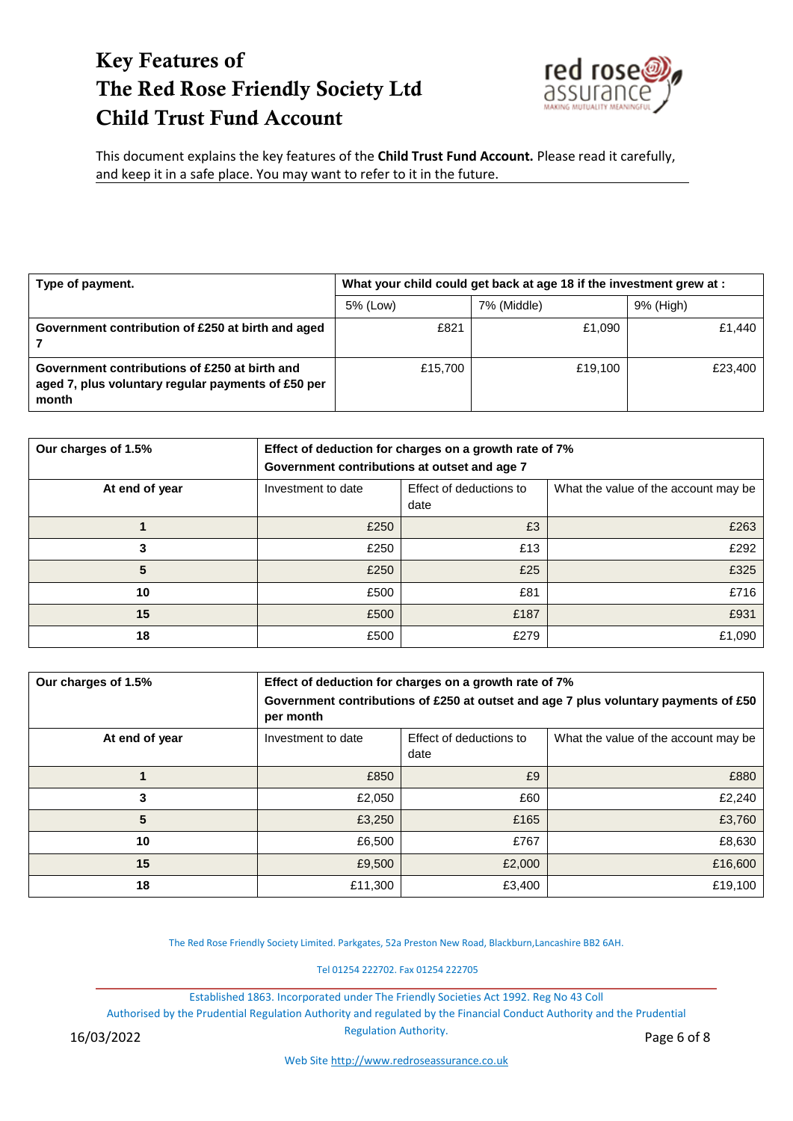

This document explains the key features of the **Child Trust Fund Account.** Please read it carefully, and keep it in a safe place. You may want to refer to it in the future.

| Type of payment.                                                                                             | What your child could get back at age 18 if the investment grew at : |             |           |  |  |
|--------------------------------------------------------------------------------------------------------------|----------------------------------------------------------------------|-------------|-----------|--|--|
|                                                                                                              | 5% (Low)                                                             | 7% (Middle) | 9% (High) |  |  |
| Government contribution of £250 at birth and aged                                                            | £821                                                                 | £1.090      | £1.440    |  |  |
| Government contributions of £250 at birth and<br>aged 7, plus voluntary regular payments of £50 per<br>month | £15,700                                                              | £19.100     | £23,400   |  |  |

| Our charges of 1.5% | Effect of deduction for charges on a growth rate of 7%<br>Government contributions at outset and age 7 |                                 |                                      |  |
|---------------------|--------------------------------------------------------------------------------------------------------|---------------------------------|--------------------------------------|--|
| At end of year      | Investment to date                                                                                     | Effect of deductions to<br>date | What the value of the account may be |  |
|                     | £250                                                                                                   | £3                              | £263                                 |  |
| 3                   | £250                                                                                                   | £13                             | £292                                 |  |
| 5                   | £250                                                                                                   | £25                             | £325                                 |  |
| 10                  | £500                                                                                                   | £81                             | £716                                 |  |
| 15                  | £500                                                                                                   | £187                            | £931                                 |  |
| 18                  | £500                                                                                                   | £279                            | £1,090                               |  |

| Our charges of 1.5% | Effect of deduction for charges on a growth rate of 7%<br>Government contributions of £250 at outset and age 7 plus voluntary payments of £50<br>per month |                                 |                                      |  |  |
|---------------------|------------------------------------------------------------------------------------------------------------------------------------------------------------|---------------------------------|--------------------------------------|--|--|
| At end of year      | Investment to date                                                                                                                                         | Effect of deductions to<br>date | What the value of the account may be |  |  |
|                     | £850                                                                                                                                                       | £9                              | £880                                 |  |  |
| 3                   | £2,050                                                                                                                                                     | £60                             | £2,240                               |  |  |
| 5                   | £3,250                                                                                                                                                     | £165                            | £3,760                               |  |  |
| 10                  | £6,500                                                                                                                                                     | £767                            | £8,630                               |  |  |
| 15                  | £9,500                                                                                                                                                     | £2,000                          | £16,600                              |  |  |
| 18                  | £11,300                                                                                                                                                    | £3,400                          | £19,100                              |  |  |

The Red Rose Friendly Society Limited. Parkgates, 52a Preston New Road, Blackburn,Lancashire BB2 6AH.

Tel 01254 222702. Fax 01254 222705

Established 1863. Incorporated under The Friendly Societies Act 1992. Reg No 43 Coll

Authorised by the Prudential Regulation Authority and regulated by the Financial Conduct Authority and the Prudential

Regulation Authority.

Web Sit[e http://www.redroseassurance.co.uk](http://www.redroseassurance.co.uk/)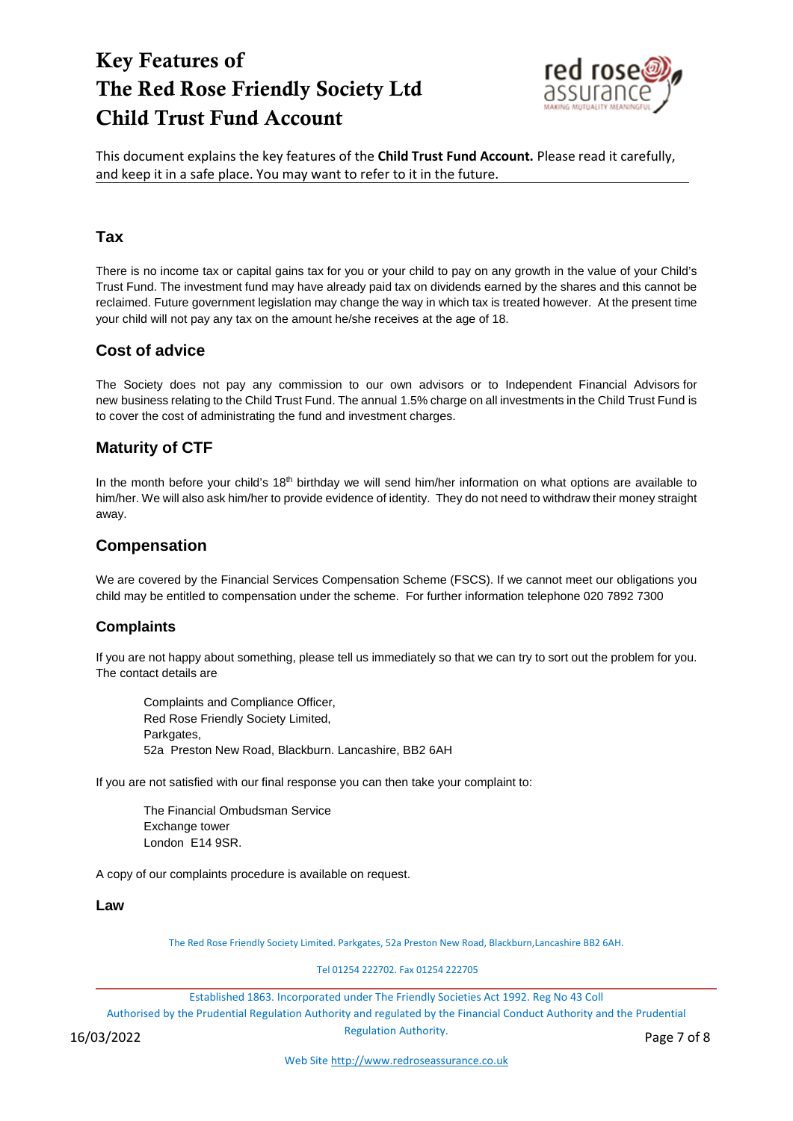

This document explains the key features of the **Child Trust Fund Account.** Please read it carefully, and keep it in a safe place. You may want to refer to it in the future.

#### **Tax**

There is no income tax or capital gains tax for you or your child to pay on any growth in the value of your Child's Trust Fund. The investment fund may have already paid tax on dividends earned by the shares and this cannot be reclaimed. Future government legislation may change the way in which tax is treated however. At the present time your child will not pay any tax on the amount he/she receives at the age of 18.

### **Cost of advice**

The Society does not pay any commission to our own advisors or to Independent Financial Advisors for new business relating to the Child Trust Fund. The annual 1.5% charge on all investments in the Child Trust Fund is to cover the cost of administrating the fund and investment charges.

# **Maturity of CTF**

In the month before your child's 18<sup>th</sup> birthday we will send him/her information on what options are available to him/her. We will also ask him/her to provide evidence of identity. They do not need to withdraw their money straight away.

# **Compensation**

We are covered by the Financial Services Compensation Scheme (FSCS). If we cannot meet our obligations you child may be entitled to compensation under the scheme. For further information telephone 020 7892 7300

#### **Complaints**

If you are not happy about something, please tell us immediately so that we can try to sort out the problem for you. The contact details are

Complaints and Compliance Officer, Red Rose Friendly Society Limited, Parkgates, 52a Preston New Road, Blackburn. Lancashire, BB2 6AH

If you are not satisfied with our final response you can then take your complaint to:

The Financial Ombudsman Service Exchange tower London E14 9SR.

A copy of our complaints procedure is available on request.

#### **Law**

The Red Rose Friendly Society Limited. Parkgates, 52a Preston New Road, Blackburn,Lancashire BB2 6AH.

Tel 01254 222702. Fax 01254 222705

Established 1863. Incorporated under The Friendly Societies Act 1992. Reg No 43 Coll

Authorised by the Prudential Regulation Authority and regulated by the Financial Conduct Authority and the Prudential